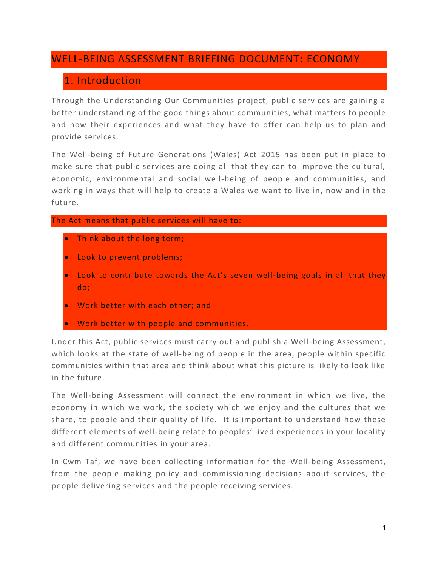# WELL-BEING ASSESSMENT BRIEFING DOCUMENT: ECONOMY

# 1. Introduction

Through the Understanding Our Communities project, public services are gaining a better understanding of the good things about communities, what matters to people and how their experiences and what they have to offer can help us to plan and provide services.

The Well-being of Future Generations (Wales) Act 2015 has been put in place to make sure that public services are doing all that they can to improve the cultural, economic, environmental and social well-being of people and communities, and working in ways that will help to create a Wales we want to live in, now and in the future.

### The Act means that public services will have to:

- Think about the long term;
- Look to prevent problems;
- Look to contribute towards the Act's seven well-being goals in all that they do;
- Work better with each other; and
- Work better with people and communities.

Under this Act, public services must carry out and publish a Well-being Assessment, which looks at the state of well-being of people in the area, people within specific communities within that area and think about what this picture is likely to look like in the future.

The Well-being Assessment will connect the environment in which we live, the economy in which we work, the society which we enjoy and the cultures that we share, to people and their quality of life. It is important to understand how these different elements of well-being relate to peoples' lived experiences in your locality and different communities in your area.

In Cwm Taf, we have been collecting information for the Well-being Assessment, from the people making policy and commissioning decisions about services, the people delivering services and the people receiving services.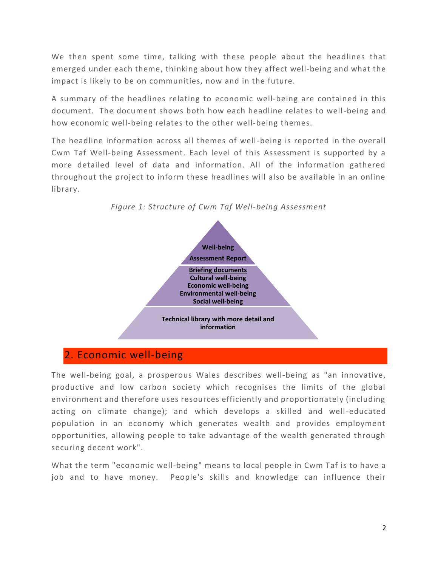We then spent some time, talking with these people about the headlines that emerged under each theme, thinking about how they affect well-being and what the impact is likely to be on communities, now and in the future.

A summary of the headlines relating to economic well-being are contained in this document. The document shows both how each headline relates to well-being and how economic well-being relates to the other well-being themes.

The headline information across all themes of well-being is reported in the overall Cwm Taf Well-being Assessment. Each level of this Assessment is supported by a more detailed level of data and information. All of the information gathered throughout the project to inform these headlines will also be available in an online library.



*Figure 1: Structure of Cwm Taf Well-being Assessment*

# 2. Economic well-being

The well-being goal, a prosperous Wales describes well-being as "an innovative, productive and low carbon society which recognises the limits of the global environment and therefore uses resources efficiently and proportionately (including acting on climate change); and which develops a skilled and well-educated population in an economy which generates wealth and provides employment opportunities, allowing people to take advantage of the wealth generated through securing decent work".

What the term "economic well-being" means to local people in Cwm Taf is to have a job and to have money. People's skills and knowledge can influence their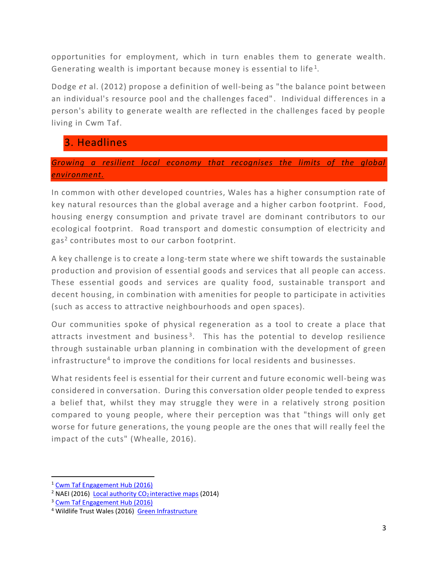opportunities for employment, which in turn enables them to generate wealth. Generating wealth is important because money is essential to life<sup>1</sup>.

Dodge *et* al. (2012) propose a definition of well-being as "the balance point between an individual's resource pool and the challenges faced" . Individual differences in a person's ability to generate wealth are reflected in the challenges faced by people living in Cwm Taf.

# 3. Headlines

# *Growing a resilient local economy that recognises the limits of the global environment.*

In common with other developed countries, Wales has a higher consumption rate of key natural resources than the global average and a higher carbon fo otprint. Food, housing energy consumption and private travel are dominant contributors to our ecological footprint. Road transport and domestic consumption of electricity and gas<sup>2</sup> contributes most to our carbon footprint.

A key challenge is to create a long-term state where we shift towards the sustainable production and provision of essential goods and services that all people can access. These essential goods and services are quality food, sustainable transport and decent housing, in combination with amenities for people to participate in activities (such as access to attractive neighbourhoods and open spaces).

Our communities spoke of physical regeneration as a tool to create a place that attracts investment and business<sup>3</sup>. This has the potential to develop resilience through sustainable urban planning in combination with the development of green infrastructure<sup>4</sup> to improve the conditions for local residents and businesses.

What residents feel is essential for their current and future economic well-being was considered in conversation. During this conversation older people tended to express a belief that, whilst they may struggle they were in a relatively strong position compared to young people, where their perception was that "things will only get worse for future generations, the young people are the ones that will really feel the impact of the cuts" (Whealle, 2016).

 $\overline{a}$ 

<sup>1</sup> [Cwm Taf Engagement Hub \(2016\)](http://www.cwmtafhub.com/kms/news.aspx?LoggingIn=tempVar&strTab=AdminNews)

<sup>&</sup>lt;sup>2</sup> NAEI (2016) **[Local authority CO](http://naei.defra.gov.uk/data/local-authority-co2-map)<sub>2</sub>** interactive maps (2014)

<sup>&</sup>lt;sup>3</sup> [Cwm Taf Engagement Hub \(2016\)](http://www.cwmtafhub.com/kms/news.aspx?LoggingIn=tempVar&strTab=AdminNews)

<sup>4</sup> Wildlife Trust Wales (2016) [Green Infrastructure](http://www.wtwales.org/greeninfrastructure)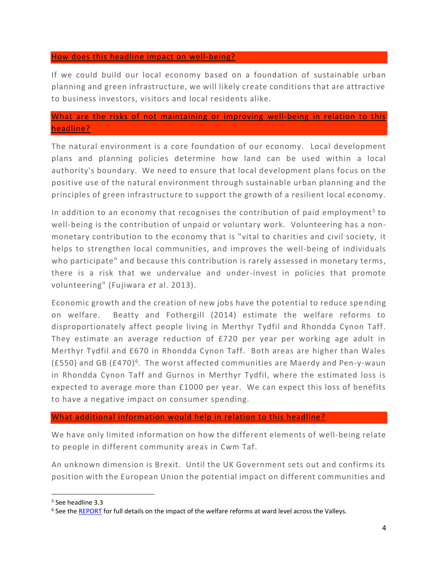#### How does this headline impact on well-being?

If we could build our local economy based on a foundation of sustainable urban planning and green infrastructure, we will likely create conditions that are attractive to business investors, visitors and local residents alike.

### What are the risks of not maintaining or improving well-being in relation to this headline?

The natural environment is a core foundation of our economy. Local development plans and planning policies determine how land can be used within a local authority's boundary. We need to ensure that local development plans focus on the positive use of the natural environment through sustainable urban planning and the principles of green infrastructure to support the growth of a resilient local economy.

In addition to an economy that recognises the contribution of paid employment<sup>5</sup> to well-being is the contribution of unpaid or voluntary work. Volunteering has a nonmonetary contribution to the economy that is "vital to charities and civil society, it helps to strengthen local communities, and improves the well-being of individuals who participate" and because this contribution is rarely assessed in monetary terms, there is a risk that we undervalue and under-invest in policies that promote volunteering" (Fujiwara *et* al. 2013).

Economic growth and the creation of new jobs have the potential to reduce spe nding on welfare. Beatty and Fothergill (2014) estimate the welfare reforms to disproportionately affect people living in Merthyr Tydfil and Rhondda Cynon Taff. They estimate an average reduction of £720 per year per working age adult in Merthyr Tydfil and £670 in Rhondda Cynon Taff. Both areas are higher than Wales (£550) and GB (£470)<sup>6</sup>. The worst affected communities are Maerdy and Pen-y-waun in Rhondda Cynon Taff and Gurnos in Merthyr Tydfil, where the estimated loss is expected to average more than £1000 per year. We can expect this loss of benefits to have a negative impact on consumer spending.

#### What additional information would help in relation to this headline?

We have only limited information on how the different elements of well-being relate to people in different community areas in Cwm Taf.

An unknown dimension is Brexit. Until the UK Government sets out and confirms its position with the European Union the potential impact on different communities and

l

<sup>5</sup> See headline 3.3

<sup>&</sup>lt;sup>6</sup> See the **REPORT** for full details on the impact of the welfare reforms at ward level across the Valleys.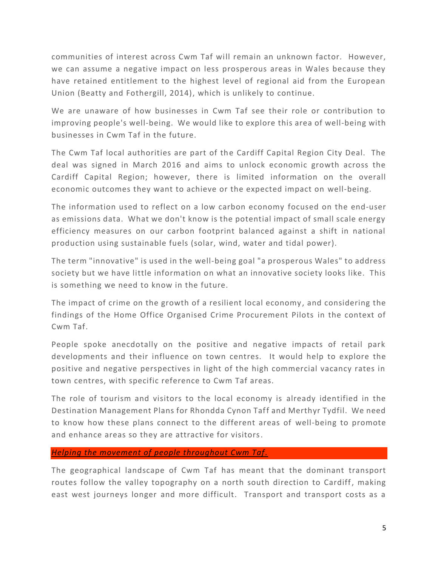communities of interest across Cwm Taf will remain an unknown factor. However, we can assume a negative impact on less prosperous areas in Wales because they have retained entitlement to the highest level of regional aid from the European Union (Beatty and Fothergill, 2014), which is unlikely to continue.

We are unaware of how businesses in Cwm Taf see their role or contribution to improving people's well-being. We would like to explore this area of well-being with businesses in Cwm Taf in the future.

The Cwm Taf local authorities are part of the Cardiff Capital Region City Deal. The deal was signed in March 2016 and aims to unlock economic growth across the Cardiff Capital Region; however, there is limited information on the overall economic outcomes they want to achieve or the expected impact on well-being.

The information used to reflect on a low carbon economy focused on the end-user as emissions data. What we don't know is the potential impact of small scale energy efficiency measures on our carbon footprint balanced against a shift in national production using sustainable fuels (solar, wind, water and tidal power).

The term "innovative" is used in the well-being goal "a prosperous Wales" to address society but we have little information on what an innovative society looks like. This is something we need to know in the future.

The impact of crime on the growth of a resilient local economy, and considering the findings of the Home Office Organised Crime Procurement Pilots in the context of Cwm Taf.

People spoke anecdotally on the positive and negative impacts of retail park developments and their influence on town centres. It would help to explore the positive and negative perspectives in light of the high commercial vacancy rates in town centres, with specific reference to Cwm Taf areas.

The role of tourism and visitors to the local economy is already identified in the Destination Management Plans for Rhondda Cynon Taff and Merthyr Tydfil. We need to know how these plans connect to the different areas of well-being to promote and enhance areas so they are attractive for visitors.

### *Helping the movement of people throughout Cwm Taf.*

The geographical landscape of Cwm Taf has meant that the dominant transport routes follow the valley topography on a north south direction to Cardiff, making east west journeys longer and more difficult. Transport and transport costs as a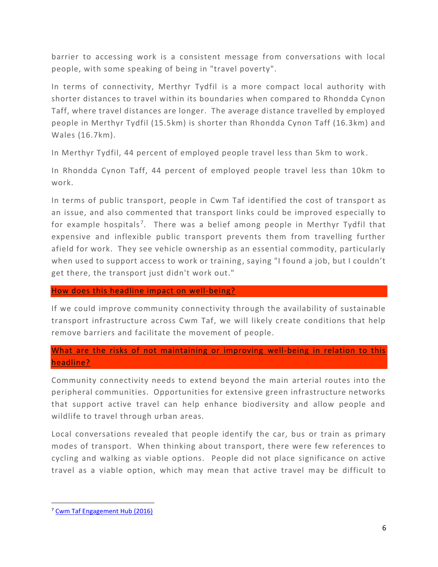barrier to accessing work is a consistent message from conversations with local people, with some speaking of being in "travel poverty".

In terms of connectivity, Merthyr Tydfil is a more compact local authority with shorter distances to travel within its boundaries when compared to Rhondda Cynon Taff, where travel distances are longer. The average distance travelled by employed people in Merthyr Tydfil (15.5km) is shorter than Rhondda Cynon Taff (16.3km) and Wales (16.7km).

In Merthyr Tydfil, 44 percent of employed people travel less than 5km to work .

In Rhondda Cynon Taff, 44 percent of employed people travel less than 10km to work.

In terms of public transport, people in Cwm Taf identified the cost of transport as an issue, and also commented that transport links could be improved especially to for example hospitals<sup>7</sup>. There was a belief among people in Merthyr Tydfil that expensive and inflexible public transport prevents them from travelling further afield for work. They see vehicle ownership as an essential commodity, particularly when used to support access to work or training, saying "I found a job, but I couldn't get there, the transport just didn't work out."

#### How does this headline impact on well-being?

If we could improve community connectivity through the availability of sustainable transport infrastructure across Cwm Taf, we will likely create conditions that help remove barriers and facilitate the movement of people*.*

# What are the risks of not maintaining or improving well-being in relation to this headline?

Community connectivity needs to extend beyond the main arterial routes into the peripheral communities. Opportunities for extensive green infrastructure networks that support active travel can help enhance biodiversity and allow people and wildlife to travel through urban areas.

Local conversations revealed that people identify the car, bus or train as primary modes of transport. When thinking about transport, there were few references to cycling and walking as viable options. People did not place significance on active travel as a viable option, which may mean that active travel may be difficult to

 $\overline{\phantom{a}}$ 

<sup>7</sup> [Cwm Taf Engagement Hub \(2016\)](http://www.cwmtafhub.com/kms/news.aspx?LoggingIn=tempVar&strTab=AdminNews)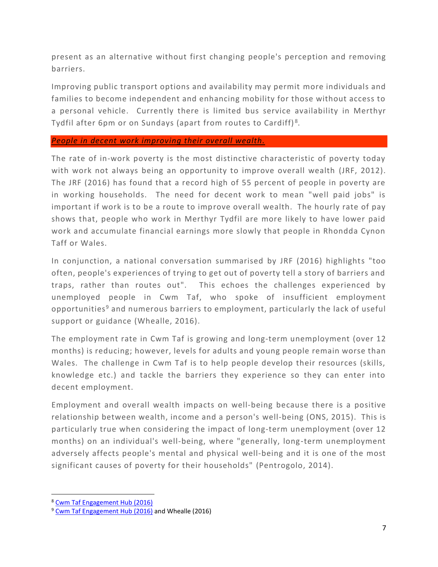present as an alternative without first changing people's perception and removing barriers.

Improving public transport options and availability may permit more individuals and families to become independent and enhancing mobility for those without access to a personal vehicle. Currently there is limited bus service availability in Merthyr Tydfil after 6pm or on Sundays (apart from routes to Cardiff) $^8$ .

#### *People in decent work improving their overall wealth.*

The rate of in-work poverty is the most distinctive characteristic of poverty today with work not always being an opportunity to improve overall wealth (JRF, 2012). The JRF (2016) has found that a record high of 55 percent of people in poverty are in working households. The need for decent work to mean "well paid jobs" is important if work is to be a route to improve overall wealth. The hourly rate of pay shows that, people who work in Merthyr Tydfil are more likely to have lower paid work and accumulate financial earnings more slowly that people in Rhondda Cynon Taff or Wales.

In conjunction, a national conversation summarised by JRF (2016) highlights "too often, people's experiences of trying to get out of poverty tell a story of barriers and traps, rather than routes out". This echoes the challenges experienced by unemployed people in Cwm Taf, who spoke of insufficient employment opportunities<sup>9</sup> and numerous barriers to employment, particularly the lack of useful support or guidance (Whealle, 2016).

The employment rate in Cwm Taf is growing and long-term unemployment (over 12 months) is reducing; however, levels for adults and young people remain worse than Wales. The challenge in Cwm Taf is to help people develop their resources (skills, knowledge etc.) and tackle the barriers they experience so they can enter into decent employment.

Employment and overall wealth impacts on well-being because there is a positive relationship between wealth, income and a person's well-being (ONS, 2015). This is particularly true when considering the impact of long-term unemployment (over 12 months) on an individual's well-being, where "generally, long-term unemployment adversely affects people's mental and physical well-being and it is one of the most significant causes of poverty for their households" (Pentrogolo, 2014).

l

<sup>8</sup> [Cwm Taf Engagement Hub \(2016\)](http://www.cwmtafhub.com/kms/news.aspx?LoggingIn=tempVar&strTab=AdminNews)

<sup>&</sup>lt;sup>9</sup> [Cwm Taf Engagement Hub \(2016\)](http://www.cwmtafhub.com/kms/news.aspx?LoggingIn=tempVar&strTab=AdminNews) and Whealle (2016)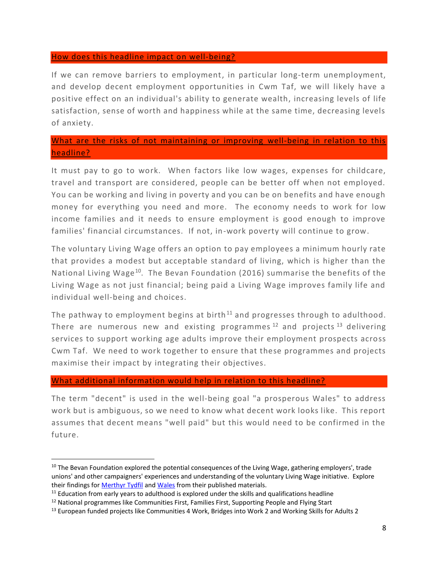#### How does this headline impact on well-being?

If we can remove barriers to employment, in particular long-term unemployment, and develop decent employment opportunities in Cwm Taf, we will likely have a positive effect on an individual's ability to generate wealth, increasing levels of life satisfaction, sense of worth and happiness while at the same time, decreasing levels of anxiety.

# What are the risks of not maintaining or improving well-being in relation to this headline?

It must pay to go to work. When factors like low wages, expenses for childcare, travel and transport are considered, people can be better off when not employed. You can be working and living in poverty and you can be on benefits and have enough money for everything you need and more. The economy needs to work for low income families and it needs to ensure employment is good enough to improve families' financial circumstances. If not, in-work poverty will continue to grow.

The voluntary Living Wage offers an option to pay employees a minimum hourly rate that provides a modest but acceptable standard of living, which is higher than the National Living Wage<sup>10</sup>. The Bevan Foundation (2016) summarise the benefits of the Living Wage as not just financial; being paid a Living Wage improves family life and individual well-being and choices.

The pathway to employment begins at birth<sup>11</sup> and progresses through to adulthood. There are numerous new and existing programmes  $12$  and projects  $13$  delivering services to support working age adults improve their employment prospects across Cwm Taf. We need to work together to ensure that these programmes and projects maximise their impact by integrating their objectives.

#### What additional information would help in relation to this headline?

The term "decent" is used in the well-being goal "a prosperous Wales" to address work but is ambiguous, so we need to know what decent work looks like. This report assumes that decent means "well paid" but this would need to be confirmed in the future.

 $\overline{a}$ 

<sup>&</sup>lt;sup>10</sup> The Bevan Foundation explored the potential consequences of the Living Wage, gathering employers', trade unions' and other campaigners' experiences and understanding of the voluntary Living Wage initiative. Explore their findings for [Merthyr Tydfil](https://www.bevanfoundation.org/current-projects/will-take-pay-living-wage-merthyr/) and [Wales](https://www.bevanfoundation.org/current-projects/will-take-pay-living-wage-wales/) from their published materials.

 $11$  Education from early years to adulthood is explored under the skills and qualifications headline

<sup>&</sup>lt;sup>12</sup> National programmes like Communities First, Families First, Supporting People and Flying Start

<sup>&</sup>lt;sup>13</sup> European funded projects like Communities 4 Work, Bridges into Work 2 and Working Skills for Adults 2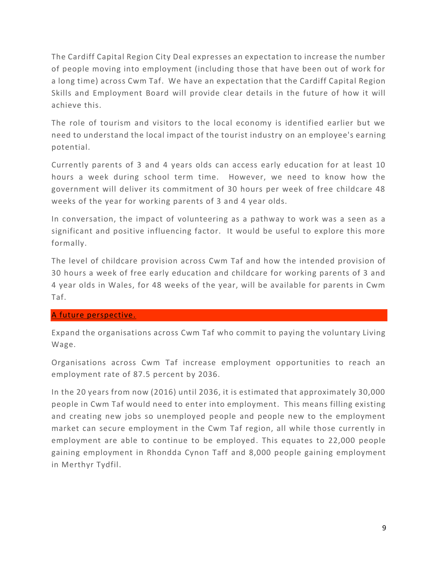The Cardiff Capital Region City Deal expresses an expectation to increase the number of people moving into employment (including those that have been out of work for a long time) across Cwm Taf. We have an expectation that the Cardiff Capital Region Skills and Employment Board will provide clear details in the future of how it will achieve this.

The role of tourism and visitors to the local economy is identified earlier but we need to understand the local impact of the tourist industry on an employee's earning potential.

Currently parents of 3 and 4 years olds can access early education for at least 10 hours a week during school term time. However, we need to know how the government will deliver its commitment of 30 hours per week of free childcare 48 weeks of the year for working parents of 3 and 4 year olds.

In conversation, the impact of volunteering as a pathway to work was a seen as a significant and positive influencing factor. It would be useful to explore this more formally.

The level of childcare provision across Cwm Taf and how the intended provision of 30 hours a week of free early education and childcare for working parents of 3 and 4 year olds in Wales, for 48 weeks of the year, will be available for parents in Cwm Taf.

### A future perspective.

Expand the organisations across Cwm Taf who commit to paying the voluntary Living Wage.

Organisations across Cwm Taf increase employment opportunities to reach an employment rate of 87.5 percent by 2036.

In the 20 years from now (2016) until 2036, it is estimated that approximately 30,000 people in Cwm Taf would need to enter into employment. This means filling existing and creating new jobs so unemployed people and people new to the employment market can secure employment in the Cwm Taf region, all while those currently in employment are able to continue to be employed. This equates to 22,000 people gaining employment in Rhondda Cynon Taff and 8,000 people gaining employment in Merthyr Tydfil.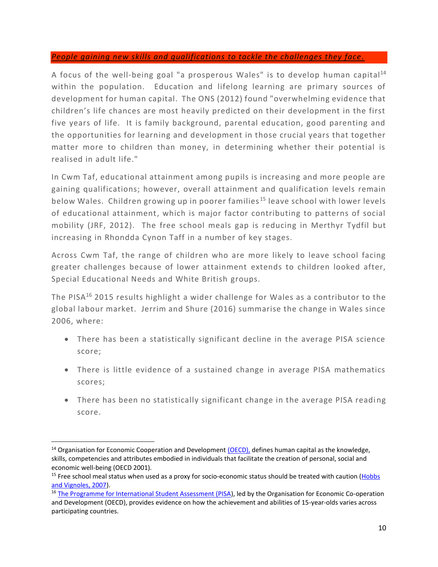### *People gaining new skills and qualifications to tackle the challenges they face.*

A focus of the well-being goal "a prosperous Wales" is to develop human capital<sup>14</sup> within the population. Education and lifelong learning are primary sources of development for human capital. The ONS (2012) found "overwhelming evidence that children's life chances are most heavily predicted on their development in the first five years of life. It is family background, parental education, good parenting and the opportunities for learning and development in those crucial years that together matter more to children than money, in determining whether their potential is realised in adult life."

In Cwm Taf, educational attainment among pupils is increasing and more people are gaining qualifications; however, overall attainment and qualification levels remain below Wales. Children growing up in poorer families<sup>15</sup> leave school with lower levels of educational attainment, which is major factor contributing to patterns of social mobility (JRF, 2012). The free school meals gap is reducing in Merthyr Tydfil but increasing in Rhondda Cynon Taff in a number of key stages.

Across Cwm Taf, the range of children who are more likely to leave school facing greater challenges because of lower attainment extends to children looked after, Special Educational Needs and White British groups.

The PISA<sup>16</sup> 2015 results highlight a wider challenge for Wales as a contributor to the global labour market. Jerrim and Shure (2016) summarise the change in Wales since 2006, where:

- There has been a statistically significant decline in the average PISA science score;
- There is little evidence of a sustained change in average PISA mathematics scores;
- There has been no statistically significant change in the average PISA reading score.

 $\overline{\phantom{a}}$ 

 $14$  Organisation for Economic Cooperation and Development [\(OECD\),](http://www.oecd.org/site/worldforum/33703702.pdf) defines human capital as the knowledge, skills, competencies and attributes embodied in individuals that facilitate the creation of personal, social and economic well-being (OECD 2001).

<sup>&</sup>lt;sup>15</sup> Free school meal status when used as a proxy for socio-economic status should be treated with caution (Hobbs [and Vignoles, 2007\)](http://webarchive.nationalarchives.gov.uk/20130401151715/http:/www.education.gov.uk/publications/eOrderingDownload/CEE03-07FR.pdf).

<sup>&</sup>lt;sup>16</sup> [The Programme for International Student Assessment \(PISA\)](http://gov.wales/docs/statistics/2016/161206-pisa-2015-en.pdf), led by the Organisation for Economic Co-operation and Development (OECD), provides evidence on how the achievement and abilities of 15-year-olds varies across participating countries.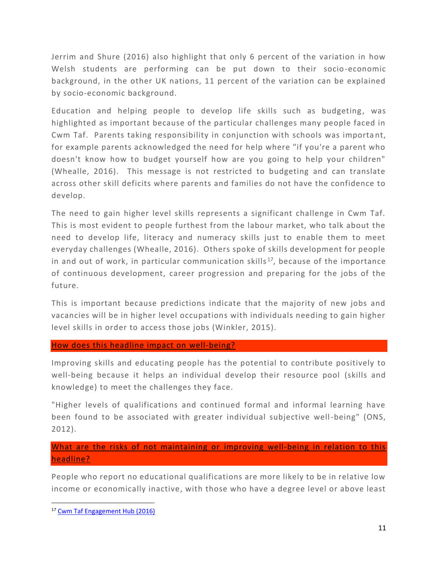Jerrim and Shure (2016) also highlight that only 6 percent of the variation in how Welsh students are performing can be put down to their socio-economic background, in the other UK nations, 11 percent of the variation can be explained by socio-economic background.

Education and helping people to develop life skills such as budgeting, was highlighted as important because of the particular challenges many people faced in Cwm Taf. Parents taking responsibility in conjunction with schools was importa nt, for example parents acknowledged the need for help where "if you're a parent who doesn't know how to budget yourself how are you going to help your children" (Whealle, 2016). This message is not restricted to budgeting and can translate across other skill deficits where parents and families do not have the confidence to develop.

The need to gain higher level skills represents a significant challenge in Cwm Taf. This is most evident to people furthest from the labour market, who talk about the need to develop life, literacy and numeracy skills just to enable them to meet everyday challenges (Whealle, 2016). Others spoke of skills development for people in and out of work, in particular communication skills<sup>17</sup>, because of the importance of continuous development, career progression and preparing for the jobs of the future.

This is important because predictions indicate that the majority of new jobs and vacancies will be in higher level occupations with individuals needing to gain higher level skills in order to access those jobs (Winkler, 2015).

### How does this headline impact on well-being?

Improving skills and educating people has the potential to contribute positively to well-being because it helps an individual develop their resource pool (skills and knowledge) to meet the challenges they face.

"Higher levels of qualifications and continued formal and informal learning have been found to be associated with greater individual subjective well-being" (ONS, 2012).

# What are the risks of not maintaining or improving well-being in relation to this headline?

People who report no educational qualifications are more likely to be in relative low income or economically inactive, with those who have a degree level or above least

 $\overline{\phantom{a}}$ 

<sup>17</sup> [Cwm Taf Engagement Hub \(2016\)](http://www.cwmtafhub.com/kms/news.aspx?LoggingIn=tempVar&strTab=AdminNews)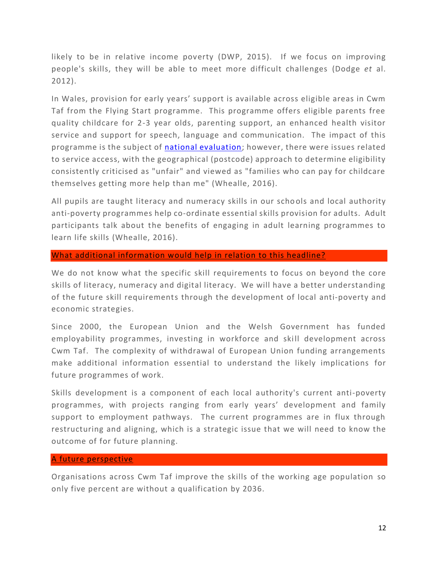likely to be in relative income poverty (DWP, 2015). If we focus on improving people's skills, they will be able to meet more difficult challenges (Dodge *et* al. 2012).

In Wales, provision for early years' support is available across eligible areas in Cwm Taf from the Flying Start programme. This programme offers eligible parents free quality childcare for 2-3 year olds, parenting support, an enhanced health visitor service and support for speech, language and communication. The impact of this programme is the subject of [national evaluation;](http://gov.wales/statistics-and-research/national-evaluation-flying-start/?lang=en) however, there were issues related to service access, with the geographical (postcode) approach to determine eligibility consistently criticised as "unfair" and viewed as "families who can pay for childcare themselves getting more help than me" (Whealle, 2016).

All pupils are taught literacy and numeracy skills in our schools and local authority anti-poverty programmes help co-ordinate essential skills provision for adults. Adult participants talk about the benefits of engaging in adult learning programmes to learn life skills (Whealle, 2016).

### What additional information would help in relation to this headline?

We do not know what the specific skill requirements to focus on beyond the core skills of literacy, numeracy and digital literacy. We will have a better understanding of the future skill requirements through the development of local anti-poverty and economic strategies.

Since 2000, the European Union and the Welsh Government has funded employability programmes, investing in workforce and skill development across Cwm Taf. The complexity of withdrawal of European Union funding arrangements make additional information essential to understand the likely implications for future programmes of work.

Skills development is a component of each local authority's current anti-poverty programmes, with projects ranging from early years' development and family support to employment pathways. The current programmes are in flux through restructuring and aligning, which is a strategic issue that we will need to know the outcome of for future planning.

#### A future perspective

Organisations across Cwm Taf improve the skills of the working age population so only five percent are without a qualification by 2036.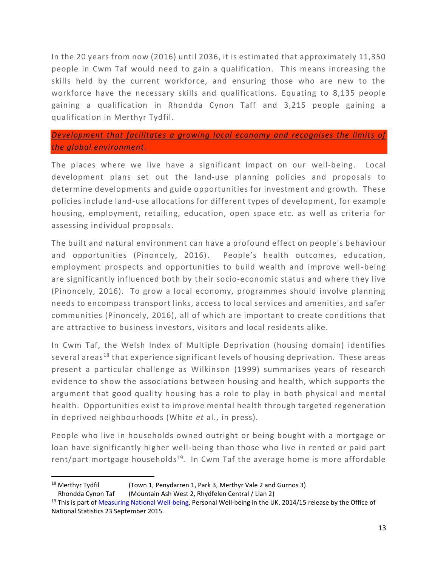In the 20 years from now (2016) until 2036, it is estimated that approximately 11,350 people in Cwm Taf would need to gain a qualification. This means increasing the skills held by the current workforce, and ensuring those who are new to the workforce have the necessary skills and qualifications. Equating to 8,135 people gaining a qualification in Rhondda Cynon Taff and 3,215 people gaining a qualification in Merthyr Tydfil.

## *Development that facilitates a growing local economy and recognises the limits of the global environment.*

The places where we live have a significant impact on our well-being. Local development plans set out the land-use planning policies and proposals to determine developments and guide opportunities for investment and growth. These policies include land-use allocations for different types of development, for example housing, employment, retailing, education, open space etc. as well as criteria for assessing individual proposals.

The built and natural environment can have a profound effect on people's behavi our and opportunities (Pinoncely, 2016). People's health outcomes, education, employment prospects and opportunities to build wealth and improve well-being are significantly influenced both by their socio-economic status and where they live (Pinoncely, 2016). To grow a local economy, programmes should involve planning needs to encompass transport links, access to local services and amenities, and safer communities (Pinoncely, 2016), all of which are important to create conditions that are attractive to business investors, visitors and local residents alike.

In Cwm Taf, the Welsh Index of Multiple Deprivation (housing domain) identifies several areas<sup>18</sup> that experience significant levels of housing deprivation. These areas present a particular challenge as Wilkinson (1999) summarises years of research evidence to show the associations between housing and health, which supports the argument that good quality housing has a role to play in both physical and mental health. Opportunities exist to improve mental health through targeted regeneration in deprived neighbourhoods (White *et* al., in press).

People who live in households owned outright or being bought with a mortgage or loan have significantly higher well-being than those who live in rented or paid part rent/part mortgage households<sup>19</sup>. In Cwm Taf the average home is more affordable

 $\overline{a}$ 

<sup>&</sup>lt;sup>18</sup> Merthyr Tydfil (Town 1, Penydarren 1, Park 3, Merthyr Vale 2 and Gurnos 3) Rhondda Cynon Taf (Mountain Ash West 2, Rhydfelen Central / Llan 2)

<sup>&</sup>lt;sup>19</sup> This is part o[f Measuring National Well-being,](http://webarchive.nationalarchives.gov.uk/20160105160709/http:/www.ons.gov.uk/ons/dcp171766_268091.pdf) Personal Well-being in the UK, 2014/15 release by the Office of National Statistics 23 September 2015.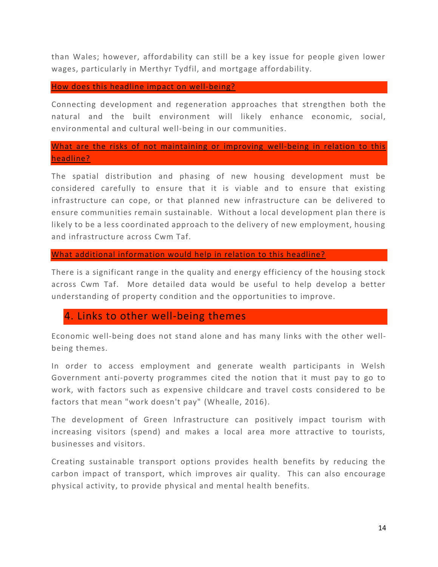than Wales; however, affordability can still be a key issue for people given lower wages, particularly in Merthyr Tydfil, and mortgage affordability.

How does this headline impact on well-being?

Connecting development and regeneration approaches that strengthen both the natural and the built environment will likely enhance economic, social, environmental and cultural well-being in our communities.

# What are the risks of not maintaining or improving well-being in relation to this headline?

The spatial distribution and phasing of new housing development must be considered carefully to ensure that it is viable and to ensure that existing infrastructure can cope, or that planned new infrastructure can be delivered to ensure communities remain sustainable. Without a local development plan there is likely to be a less coordinated approach to the delivery of new employment, housing and infrastructure across Cwm Taf.

### What additional information would help in relation to this headline?

There is a significant range in the quality and energy efficiency of the housing stock across Cwm Taf. More detailed data would be useful to help develop a better understanding of property condition and the opportunities to improve.

# 4. Links to other well-being themes

Economic well-being does not stand alone and has many links with the other wellbeing themes.

In order to access employment and generate wealth participants in Welsh Government anti-poverty programmes cited the notion that it must pay to go to work, with factors such as expensive childcare and travel costs considered to be factors that mean "work doesn't pay" (Whealle, 2016).

The development of Green Infrastructure can positively impact tourism with increasing visitors (spend) and makes a local area more attractive to tourists, businesses and visitors.

Creating sustainable transport options provides health benefits by reducing the carbon impact of transport, which improves air quality. This can also encourage physical activity, to provide physical and mental health benefits.